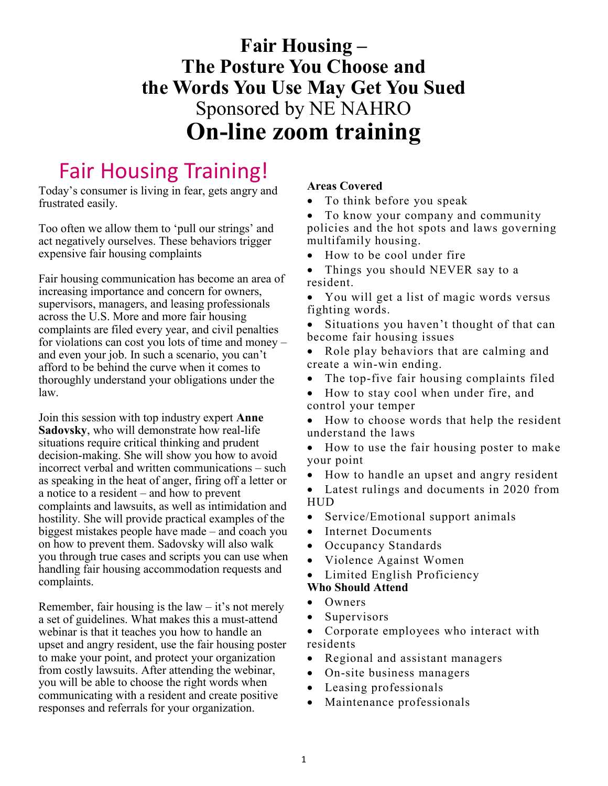## **Fair Housing – The Posture You Choose and the Words You Use May Get You Sued** Sponsored by NE NAHRO **On-line zoom training**

# Fair Housing Training!

Today's consumer is living in fear, gets angry and frustrated easily.

Too often we allow them to 'pull our strings' and act negatively ourselves. These behaviors trigger expensive fair housing complaints

Fair housing communication has become an area of increasing importance and concern for owners, supervisors, managers, and leasing professionals across the U.S. More and more fair housing complaints are filed every year, and civil penalties for violations can cost you lots of time and money – and even your job. In such a scenario, you can't afford to be behind the curve when it comes to thoroughly understand your obligations under the law.

Join this session with top industry expert **Anne Sadovsky**, who will demonstrate how real-life situations require critical thinking and prudent decision-making. She will show you how to avoid incorrect verbal and written communications – such as speaking in the heat of anger, firing off a letter or a notice to a resident – and how to prevent complaints and lawsuits, as well as intimidation and hostility. She will provide practical examples of the biggest mistakes people have made – and coach you on how to prevent them. Sadovsky will also walk you through true cases and scripts you can use when handling fair housing accommodation requests and complaints.

Remember, fair housing is the  $law - it's$  not merely a set of guidelines. What makes this a must-attend webinar is that it teaches you how to handle an upset and angry resident, use the fair housing poster to make your point, and protect your organization from costly lawsuits. After attending the webinar, you will be able to choose the right words when communicating with a resident and create positive responses and referrals for your organization.

#### **Areas Covered**

To think before you speak

• To know your company and community policies and the hot spots and laws governing multifamily housing.

- How to be cool under fire
- Things you should NEVER say to a resident.
- You will get a list of magic words versus fighting words.
- Situations you haven't thought of that can become fair housing issues
- Role play behaviors that are calming and create a win-win ending.
- The top-five fair housing complaints filed
- How to stay cool when under fire, and control your temper
- How to choose words that help the resident understand the laws
- How to use the fair housing poster to make your point
- How to handle an upset and angry resident
- Latest rulings and documents in 2020 from HUD
- Service/Emotional support animals
- Internet Documents
- Occupancy Standards
- Violence Against Women
- Limited English Proficiency
- **Who Should Attend**
- Owners
- Supervisors
- Corporate employees who interact with residents
- Regional and assistant managers
- On-site business managers
- Leasing professionals
- Maintenance professionals